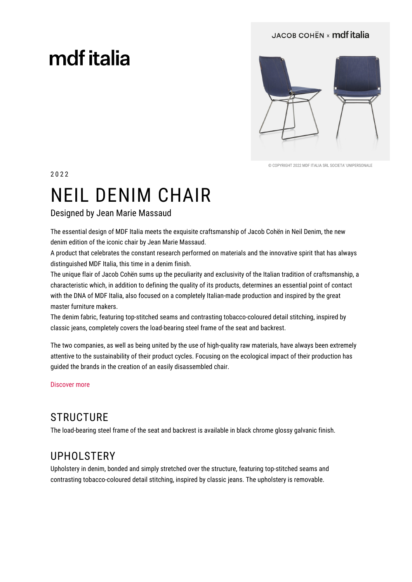#### JACOB COHËN x mdf italia

# mdf italia



© COPYRIGHT 2022 MDE ITALIA SRL SOCIETA' UNIPERSONALE

2022

# **NEIL DENIM CHAIR**

#### Designed by Jean Marie Massaud

The essential design of MDF Italia meets the exquisite craftsmanship of Jacob Cohen in Neil Denim, the new denim edition of the iconic chair by Jean Marie Massaud.

A product that celebrates the constant research performed on materials and the innovative spirit that has always distinguished MDF Italia, this time in a denim finish.

The unique flair of Jacob Cohën sums up the peculiarity and exclusivity of the Italian tradition of craftsmanship, a characteristic which, in addition to defining the quality of its products, determines an essential point of contact with the DNA of MDF Italia, also focused on a completely Italian-made production and inspired by the great master furniture makers.

The denim fabric, featuring top-stitched seams and contrasting tobacco-coloured detail stitching, inspired by classic jeans, completely covers the load-bearing steel frame of the seat and backrest.

The two companies, as well as being united by the use of high-guality raw materials, have always been extremely attentive to the sustainability of their product cycles. Focusing on the ecological impact of their production has quided the brands in the creation of an easily disassembled chair.

Discover more

### **STRUCTURE**

The load-bearing steel frame of the seat and backrest is available in black chrome glossy galvanic finish.

### **UPHOLSTERY**

Upholstery in denim, bonded and simply stretched over the structure, featuring top-stitched seams and contrasting tobacco-coloured detail stitching, inspired by classic jeans. The upholstery is removable.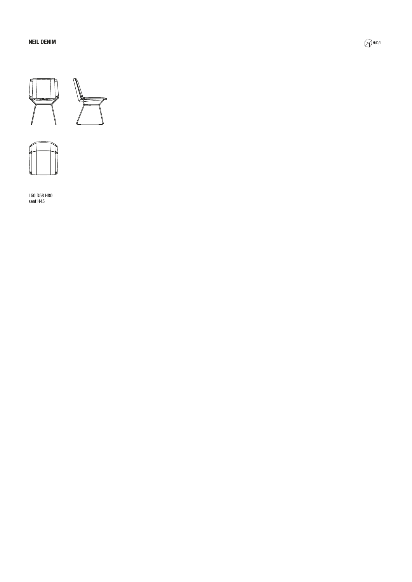



L50 D58 H80<br>seat H45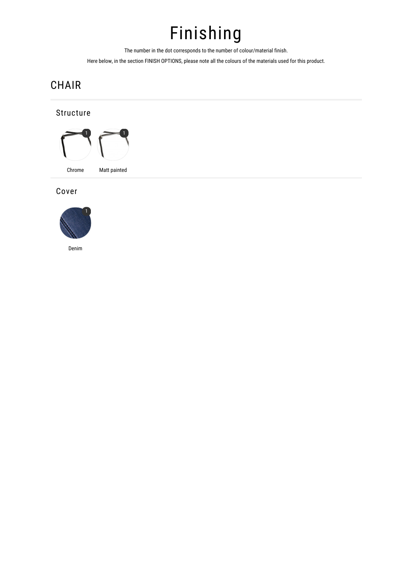## Finishing

The number in the dot corresponds to the number of colour/material finish.

Here below, in the section FINISH OPTIONS, please note all the colours of the materials used for this product.

## CHAIR

#### Structure



#### Cover



Denim